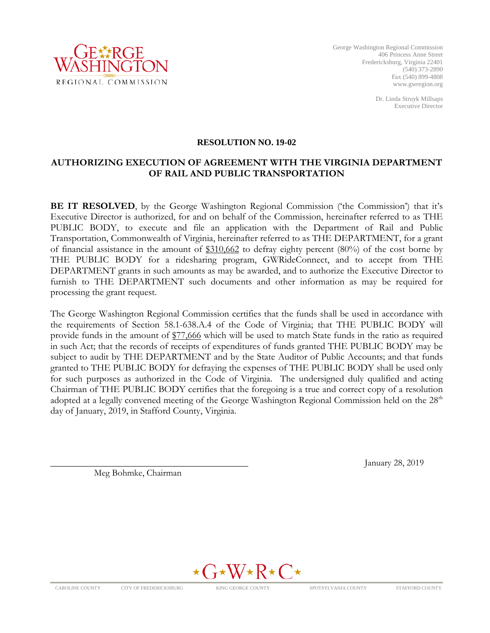

George Washington Regional Commission 406 Princess Anne Street Fredericksburg, Virginia 22401 (540) 373-2890 Fax (540) 899-4808 www.gwregion.org

> Dr. Linda Struyk Millsaps Executive Director

#### **RESOLUTION NO. 19-02**

### **AUTHORIZING EXECUTION OF AGREEMENT WITH THE VIRGINIA DEPARTMENT OF RAIL AND PUBLIC TRANSPORTATION**

**BE IT RESOLVED**, by the George Washington Regional Commission ('the Commission') that it's Executive Director is authorized, for and on behalf of the Commission, hereinafter referred to as THE PUBLIC BODY, to execute and file an application with the Department of Rail and Public Transportation, Commonwealth of Virginia, hereinafter referred to as THE DEPARTMENT, for a grant of financial assistance in the amount of \$310,662 to defray eighty percent (80%) of the cost borne by THE PUBLIC BODY for a ridesharing program, GWRideConnect, and to accept from THE DEPARTMENT grants in such amounts as may be awarded, and to authorize the Executive Director to furnish to THE DEPARTMENT such documents and other information as may be required for processing the grant request.

The George Washington Regional Commission certifies that the funds shall be used in accordance with the requirements of Section 58.1-638.A.4 of the Code of Virginia; that THE PUBLIC BODY will provide funds in the amount of \$77,666 which will be used to match State funds in the ratio as required in such Act; that the records of receipts of expenditures of funds granted THE PUBLIC BODY may be subject to audit by THE DEPARTMENT and by the State Auditor of Public Accounts; and that funds granted to THE PUBLIC BODY for defraying the expenses of THE PUBLIC BODY shall be used only for such purposes as authorized in the Code of Virginia. The undersigned duly qualified and acting Chairman of THE PUBLIC BODY certifies that the foregoing is a true and correct copy of a resolution adopted at a legally convened meeting of the George Washington Regional Commission held on the 28<sup>th</sup> day of January, 2019, in Stafford County, Virginia.

Meg Bohmke, Chairman

January 28, 2019

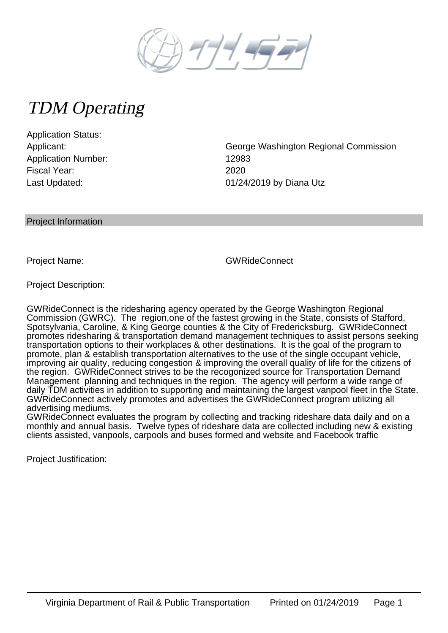

# TDM Operating

Application Status: Application Number: 12983 Fiscal Year: 2020

Applicant: George Washington Regional Commission Last Updated: 01/24/2019 by Diana Utz

Project Information

Project Name: GWRideConnect

Project Description:

GWRideConnect is the ridesharing agency operated by the George Washington Regional Commission (GWRC). The region,one of the fastest growing in the State, consists of Stafford, Spotsylvania, Caroline, & King George counties & the City of Fredericksburg. GWRideConnect promotes ridesharing & transportation demand management techniques to assist persons seeking transportation options to their workplaces & other destinations. It is the goal of the program to promote, plan & establish transportation alternatives to the use of the single occupant vehicle, improving air quality, reducing congestion & improving the overall quality of life for the citizens of the region. GWRideConnect strives to be the recogonized source for Transportation Demand Management planning and techniques in the region. The agency will perform a wide range of daily TDM activities in addition to supporting and maintaining the largest vanpool fleet in the State. GWRideConnect actively promotes and advertises the GWRideConnect program utilizing all advertising mediums.

GWRideConnect evaluates the program by collecting and tracking rideshare data daily and on a monthly and annual basis. Twelve types of rideshare data are collected including new & existing clients assisted, vanpools, carpools and buses formed and website and Facebook traffic

Project Justification: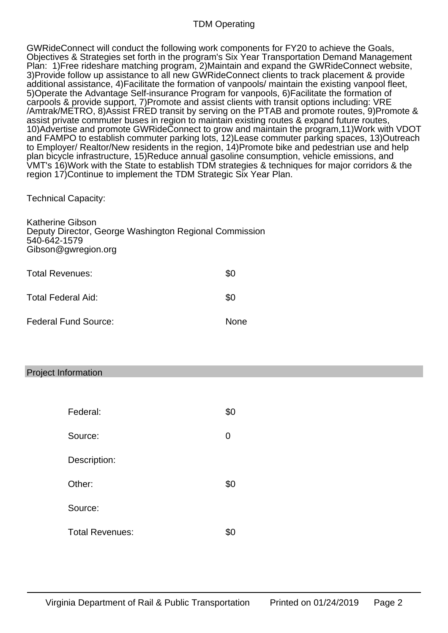## TDM Operating

GWRideConnect will conduct the following work components for FY20 to achieve the Goals, Objectives & Strategies set forth in the program's Six Year Transportation Demand Management Plan: 1)Free rideshare matching program, 2)Maintain and expand the GWRideConnect website, 3)Provide follow up assistance to all new GWRideConnect clients to track placement & provide additional assistance, 4)Facilitate the formation of vanpools/ maintain the existing vanpool fleet, 5)Operate the Advantage Self-insurance Program for vanpools, 6)Facilitate the formation of carpools & provide support, 7)Promote and assist clients with transit options including: VRE /Amtrak/METRO, 8)Assist FRED transit by serving on the PTAB and promote routes, 9)Promote & assist private commuter buses in region to maintain existing routes & expand future routes, 10)Advertise and promote GWRideConnect to grow and maintain the program,11)Work with VDOT and FAMPO to establish commuter parking lots, 12)Lease commuter parking spaces, 13)Outreach to Employer/ Realtor/New residents in the region, 14)Promote bike and pedestrian use and help plan bicycle infrastructure, 15)Reduce annual gasoline consumption, vehicle emissions, and VMT's 16)Work with the State to establish TDM strategies & techniques for major corridors & the region 17)Continue to implement the TDM Strategic Six Year Plan.

Technical Capacity:

| <b>Katherine Gibson</b><br>Deputy Director, George Washington Regional Commission<br>540-642-1579<br>Gibson@gwregion.org |             |
|--------------------------------------------------------------------------------------------------------------------------|-------------|
| Total Revenues:                                                                                                          | \$0         |
| Total Federal Aid:                                                                                                       | \$0         |
| Federal Fund Source:                                                                                                     | <b>None</b> |

## Project Information

| Federal:               | \$0 |
|------------------------|-----|
| Source:                | 0   |
| Description:           |     |
| Other:                 | \$0 |
| Source:                |     |
| <b>Total Revenues:</b> | \$С |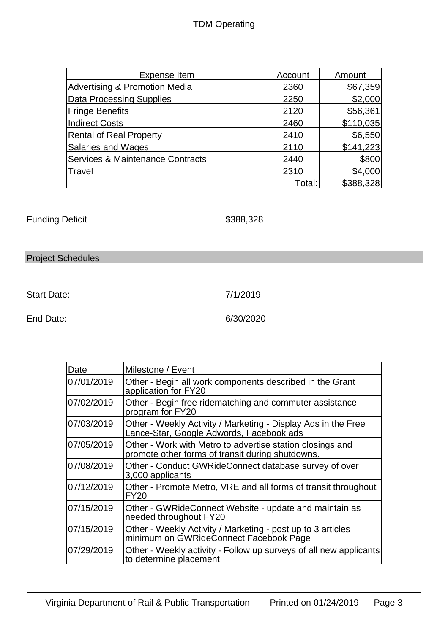# TDM Operating

| Expense Item                     | Account | Amount    |
|----------------------------------|---------|-----------|
| Advertising & Promotion Media    | 2360    | \$67,359  |
| Data Processing Supplies         | 2250    | \$2,000   |
| <b>Fringe Benefits</b>           | 2120    | \$56,361  |
| Indirect Costs                   | 2460    | \$110,035 |
| <b>Rental of Real Property</b>   | 2410    | \$6,550   |
| <b>Salaries and Wages</b>        | 2110    | \$141,223 |
| Services & Maintenance Contracts | 2440    | \$800     |
| Travel                           | 2310    | \$4,000   |
|                                  | Total:  | \$388,328 |

Funding Deficit  $$388,328$ 

# Project Schedules

Start Date: 7/1/2019

End Date: 6/30/2020

| Date       | Milestone / Event                                                                                             |
|------------|---------------------------------------------------------------------------------------------------------------|
| 07/01/2019 | Other - Begin all work components described in the Grant<br>application for FY20                              |
| 07/02/2019 | Other - Begin free ridematching and commuter assistance<br>program for FY20                                   |
| 07/03/2019 | Other - Weekly Activity / Marketing - Display Ads in the Free<br>Lance-Star, Google Adwords, Facebook ads     |
| 07/05/2019 | Other - Work with Metro to advertise station closings and<br>promote other forms of transit during shutdowns. |
| 07/08/2019 | Other - Conduct GWRideConnect database survey of over<br>3,000 applicants                                     |
| 07/12/2019 | Other - Promote Metro, VRE and all forms of transit throughout<br><b>FY20</b>                                 |
| 07/15/2019 | Other - GWRideConnect Website - update and maintain as<br>needed throughout FY20                              |
| 07/15/2019 | Other - Weekly Activity / Marketing - post up to 3 articles<br>minimum on GWRideConnect Facebook Page         |
| 07/29/2019 | Other - Weekly activity - Follow up surveys of all new applicants<br>to determine placement                   |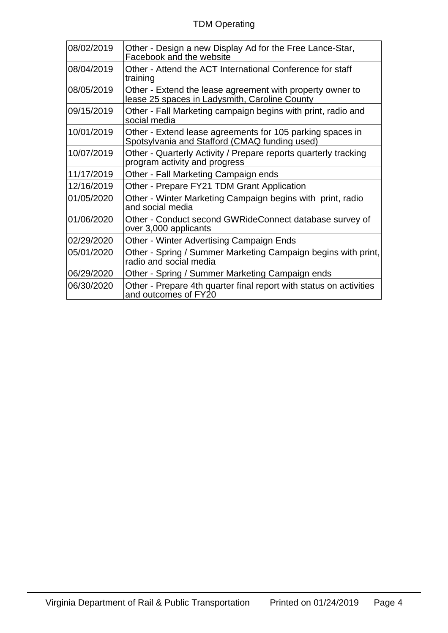| 08/02/2019 | Other - Design a new Display Ad for the Free Lance-Star,<br>Facebook and the website                       |
|------------|------------------------------------------------------------------------------------------------------------|
| 08/04/2019 | Other - Attend the ACT International Conference for staff<br>training                                      |
| 08/05/2019 | Other - Extend the lease agreement with property owner to<br>lease 25 spaces in Ladysmith, Caroline County |
| 09/15/2019 | Other - Fall Marketing campaign begins with print, radio and<br>social media                               |
| 10/01/2019 | Other - Extend lease agreements for 105 parking spaces in<br>Spotsylvania and Stafford (CMAQ funding used) |
| 10/07/2019 | Other - Quarterly Activity / Prepare reports quarterly tracking<br>program activity and progress           |
| 11/17/2019 | Other - Fall Marketing Campaign ends                                                                       |
| 12/16/2019 | Other - Prepare FY21 TDM Grant Application                                                                 |
| 01/05/2020 | Other - Winter Marketing Campaign begins with print, radio<br>and social media                             |
| 01/06/2020 | Other - Conduct second GWRideConnect database survey of<br>over 3,000 applicants                           |
| 02/29/2020 | Other - Winter Advertising Campaign Ends                                                                   |
| 05/01/2020 | Other - Spring / Summer Marketing Campaign begins with print,<br>radio and social media                    |
| 06/29/2020 | Other - Spring / Summer Marketing Campaign ends                                                            |
| 06/30/2020 | Other - Prepare 4th quarter final report with status on activities<br>and outcomes of FY20                 |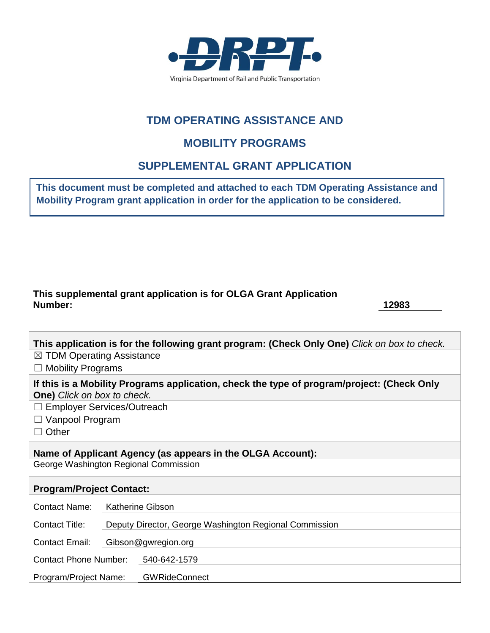

# **TDM OPERATING ASSISTANCE AND**

# **MOBILITY PROGRAMS**

# **SUPPLEMENTAL GRANT APPLICATION**

**This document must be completed and attached to each TDM Operating Assistance and Mobility Program grant application in order for the application to be considered.**

## **This supplemental grant application is for OLGA Grant Application Number: 12983**

| This application is for the following grant program: (Check Only One) Click on box to check.                                     |  |  |
|----------------------------------------------------------------------------------------------------------------------------------|--|--|
| $\boxtimes$ TDM Operating Assistance                                                                                             |  |  |
| $\Box$ Mobility Programs                                                                                                         |  |  |
| If this is a Mobility Programs application, check the type of program/project: (Check Only<br><b>One)</b> Click on box to check. |  |  |
| $\Box$ Employer Services/Outreach                                                                                                |  |  |
| $\Box$ Vanpool Program                                                                                                           |  |  |
| $\Box$ Other                                                                                                                     |  |  |
| Name of Applicant Agency (as appears in the OLGA Account):<br>George Washington Regional Commission                              |  |  |
|                                                                                                                                  |  |  |
| <b>Program/Project Contact:</b>                                                                                                  |  |  |
| Contact Name:<br>Katherine Gibson                                                                                                |  |  |
| <b>Contact Title:</b><br>Deputy Director, George Washington Regional Commission                                                  |  |  |
| <b>Contact Email:</b><br>Gibson@gwregion.org                                                                                     |  |  |
| Contact Phone Number: 540-642-1579                                                                                               |  |  |
| <b>GWRideConnect</b><br>Program/Project Name:                                                                                    |  |  |
|                                                                                                                                  |  |  |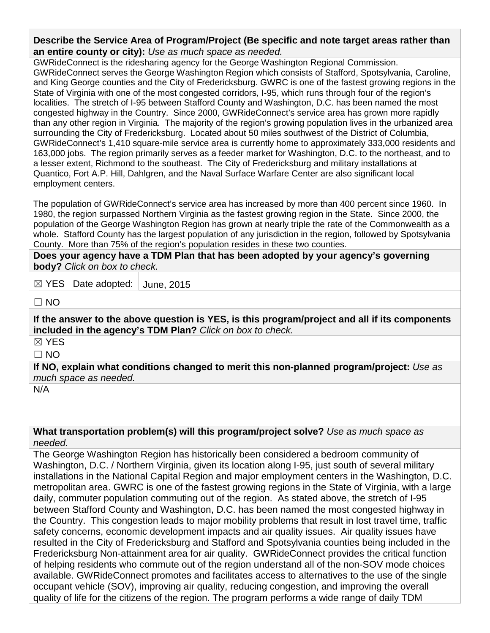**Describe the Service Area of Program/Project (Be specific and note target areas rather than an entire county or city):** *Use as much space as needed.*

GWRideConnect is the ridesharing agency for the George Washington Regional Commission. GWRideConnect serves the George Washington Region which consists of Stafford, Spotsylvania, Caroline, and King George counties and the City of Fredericksburg. GWRC is one of the fastest growing regions in the State of Virginia with one of the most congested corridors, I-95, which runs through four of the region's localities. The stretch of I-95 between Stafford County and Washington, D.C. has been named the most congested highway in the Country. Since 2000, GWRideConnect's service area has grown more rapidly than any other region in Virginia. The majority of the region's growing population lives in the urbanized area surrounding the City of Fredericksburg. Located about 50 miles southwest of the District of Columbia, GWRideConnect's 1,410 square-mile service area is currently home to approximately 333,000 residents and 163,000 jobs. The region primarily serves as a feeder market for Washington, D.C. to the northeast, and to a lesser extent, Richmond to the southeast. The City of Fredericksburg and military installations at Quantico, Fort A.P. Hill, Dahlgren, and the Naval Surface Warfare Center are also significant local employment centers.

The population of GWRideConnect's service area has increased by more than 400 percent since 1960. In 1980, the region surpassed Northern Virginia as the fastest growing region in the State. Since 2000, the population of the George Washington Region has grown at nearly triple the rate of the Commonwealth as a whole. Stafford County has the largest population of any jurisdiction in the region, followed by Spotsylvania County. More than 75% of the region's population resides in these two counties.

**Does your agency have a TDM Plan that has been adopted by your agency's governing body?** *Click on box to check.*

☒ YES Date adopted: June, 2015

 $\Box$  NO

**If the answer to the above question is YES, is this program/project and all if its components included in the agency's TDM Plan?** *Click on box to check.*

☒ YES

 $\Box$  NO

**If NO, explain what conditions changed to merit this non-planned program/project:** *Use as much space as needed.*

N/A

**What transportation problem(s) will this program/project solve?** *Use as much space as needed.*

The George Washington Region has historically been considered a bedroom community of Washington, D.C. / Northern Virginia, given its location along I-95, just south of several military installations in the National Capital Region and major employment centers in the Washington, D.C. metropolitan area. GWRC is one of the fastest growing regions in the State of Virginia, with a large daily, commuter population commuting out of the region. As stated above, the stretch of I-95 between Stafford County and Washington, D.C. has been named the most congested highway in the Country. This congestion leads to major mobility problems that result in lost travel time, traffic safety concerns, economic development impacts and air quality issues. Air quality issues have resulted in the City of Fredericksburg and Stafford and Spotsylvania counties being included in the Fredericksburg Non-attainment area for air quality. GWRideConnect provides the critical function of helping residents who commute out of the region understand all of the non-SOV mode choices available. GWRideConnect promotes and facilitates access to alternatives to the use of the single occupant vehicle (SOV), improving air quality, reducing congestion, and improving the overall quality of life for the citizens of the region. The program performs a wide range of daily TDM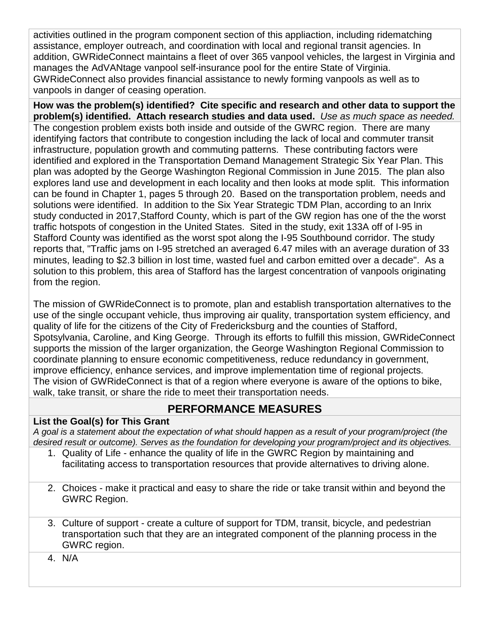activities outlined in the program component section of this appliaction, including ridematching assistance, employer outreach, and coordination with local and regional transit agencies. In addition, GWRideConnect maintains a fleet of over 365 vanpool vehicles, the largest in Virginia and manages the AdVANtage vanpool self-insurance pool for the entire State of Virginia. GWRideConnect also provides financial assistance to newly forming vanpools as well as to vanpools in danger of ceasing operation.

**How was the problem(s) identified? Cite specific and research and other data to support the problem(s) identified. Attach research studies and data used.** *Use as much space as needed.* The congestion problem exists both inside and outside of the GWRC region. There are many identifying factors that contribute to congestion including the lack of local and commuter transit infrastructure, population growth and commuting patterns. These contributing factors were identified and explored in the Transportation Demand Management Strategic Six Year Plan. This plan was adopted by the George Washington Regional Commission in June 2015. The plan also explores land use and development in each locality and then looks at mode split. This information can be found in Chapter 1, pages 5 through 20. Based on the transportation problem, needs and solutions were identified. In addition to the Six Year Strategic TDM Plan, according to an Inrix study conducted in 2017,Stafford County, which is part of the GW region has one of the the worst traffic hotspots of congestion in the United States. Sited in the study, exit 133A off of I-95 in Stafford County was identified as the worst spot along the I-95 Southbound corridor. The study reports that, "Traffic jams on I-95 stretched an averaged 6.47 miles with an average duration of 33 minutes, leading to \$2.3 billion in lost time, wasted fuel and carbon emitted over a decade". As a solution to this problem, this area of Stafford has the largest concentration of vanpools originating from the region.

The mission of GWRideConnect is to promote, plan and establish transportation alternatives to the use of the single occupant vehicle, thus improving air quality, transportation system efficiency, and quality of life for the citizens of the City of Fredericksburg and the counties of Stafford, Spotsylvania, Caroline, and King George. Through its efforts to fulfill this mission, GWRideConnect supports the mission of the larger organization, the George Washington Regional Commission to coordinate planning to ensure economic competitiveness, reduce redundancy in government, improve efficiency, enhance services, and improve implementation time of regional projects. The vision of GWRideConnect is that of a region where everyone is aware of the options to bike, walk, take transit, or share the ride to meet their transportation needs.

# **PERFORMANCE MEASURES**

## **List the Goal(s) for This Grant**

*A goal is a statement about the expectation of what should happen as a result of your program/project (the desired result or outcome). Serves as the foundation for developing your program/project and its objectives.*

- 1. Quality of Life enhance the quality of life in the GWRC Region by maintaining and facilitating access to transportation resources that provide alternatives to driving alone.
- 2. Choices make it practical and easy to share the ride or take transit within and beyond the GWRC Region.
- 3. Culture of support create a culture of support for TDM, transit, bicycle, and pedestrian transportation such that they are an integrated component of the planning process in the GWRC region.
- 4. N/A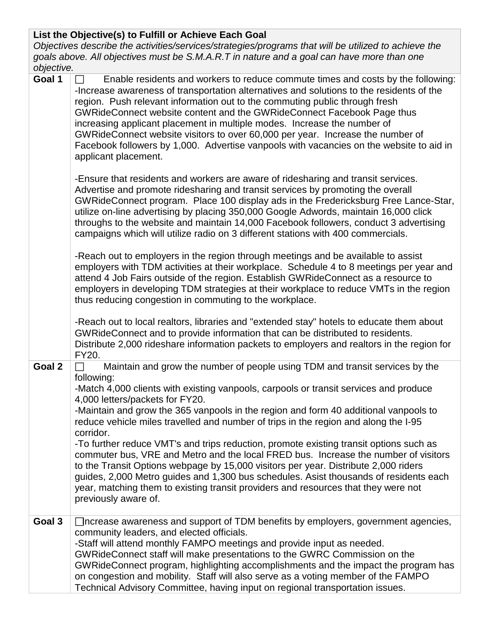## **List the Objective(s) to Fulfill or Achieve Each Goal**

*Objectives describe the activities/services/strategies/programs that will be utilized to achieve the goals above. All objectives must be S.M.A.R.T in nature and a goal can have more than one objective.*  **Goal 1**  Enable residents and workers to reduce commute times and costs by the following:

| <b>1 coal</b> | Enable residents and workers to reduce commute times and costs by the following:<br>-Increase awareness of transportation alternatives and solutions to the residents of the<br>region. Push relevant information out to the commuting public through fresh<br>GWRideConnect website content and the GWRideConnect Facebook Page thus<br>increasing applicant placement in multiple modes. Increase the number of<br>GWRideConnect website visitors to over 60,000 per year. Increase the number of<br>Facebook followers by 1,000. Advertise vanpools with vacancies on the website to aid in<br>applicant placement. |
|---------------|------------------------------------------------------------------------------------------------------------------------------------------------------------------------------------------------------------------------------------------------------------------------------------------------------------------------------------------------------------------------------------------------------------------------------------------------------------------------------------------------------------------------------------------------------------------------------------------------------------------------|
|               | -Ensure that residents and workers are aware of ridesharing and transit services.<br>Advertise and promote ridesharing and transit services by promoting the overall<br>GWRideConnect program. Place 100 display ads in the Fredericksburg Free Lance-Star,<br>utilize on-line advertising by placing 350,000 Google Adwords, maintain 16,000 click<br>throughs to the website and maintain 14,000 Facebook followers, conduct 3 advertising<br>campaigns which will utilize radio on 3 different stations with 400 commercials.                                                                                       |
|               | -Reach out to employers in the region through meetings and be available to assist<br>employers with TDM activities at their workplace. Schedule 4 to 8 meetings per year and<br>attend 4 Job Fairs outside of the region. Establish GWRideConnect as a resource to<br>employers in developing TDM strategies at their workplace to reduce VMTs in the region<br>thus reducing congestion in commuting to the workplace.                                                                                                                                                                                                |
|               | -Reach out to local realtors, libraries and "extended stay" hotels to educate them about<br>GWRideConnect and to provide information that can be distributed to residents.<br>Distribute 2,000 rideshare information packets to employers and realtors in the region for<br>FY20.                                                                                                                                                                                                                                                                                                                                      |
| Goal 2        | Maintain and grow the number of people using TDM and transit services by the<br>following:<br>-Match 4,000 clients with existing vanpools, carpools or transit services and produce<br>4,000 letters/packets for FY20.                                                                                                                                                                                                                                                                                                                                                                                                 |
|               | -Maintain and grow the 365 vanpools in the region and form 40 additional vanpools to<br>reduce vehicle miles travelled and number of trips in the region and along the I-95<br>corridor.                                                                                                                                                                                                                                                                                                                                                                                                                               |
|               | -To further reduce VMT's and trips reduction, promote existing transit options such as<br>commuter bus, VRE and Metro and the local FRED bus. Increase the number of visitors<br>to the Transit Options webpage by 15,000 visitors per year. Distribute 2,000 riders<br>guides, 2,000 Metro guides and 1,300 bus schedules. Asist thousands of residents each<br>year, matching them to existing transit providers and resources that they were not<br>previously aware of.                                                                                                                                            |
| Goal 3        | □ ncrease awareness and support of TDM benefits by employers, government agencies,<br>community leaders, and elected officials.<br>-Staff will attend monthly FAMPO meetings and provide input as needed.                                                                                                                                                                                                                                                                                                                                                                                                              |
|               | GWRideConnect staff will make presentations to the GWRC Commission on the<br>GWRideConnect program, highlighting accomplishments and the impact the program has<br>on congestion and mobility. Staff will also serve as a voting member of the FAMPO<br>Technical Advisory Committee, having input on regional transportation issues.                                                                                                                                                                                                                                                                                  |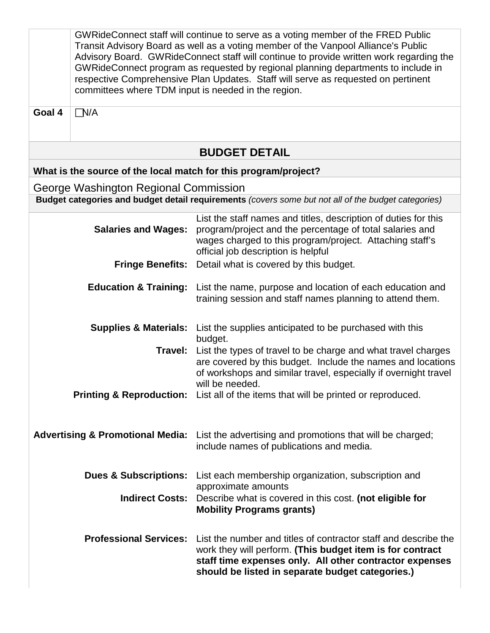|        | committees where TDM input is needed in the region. | GWRideConnect staff will continue to serve as a voting member of the FRED Public<br>Transit Advisory Board as well as a voting member of the Vanpool Alliance's Public<br>Advisory Board. GWRideConnect staff will continue to provide written work regarding the<br>GWRideConnect program as requested by regional planning departments to include in<br>respective Comprehensive Plan Updates. Staff will serve as requested on pertinent |
|--------|-----------------------------------------------------|---------------------------------------------------------------------------------------------------------------------------------------------------------------------------------------------------------------------------------------------------------------------------------------------------------------------------------------------------------------------------------------------------------------------------------------------|
| Goal 4 | N/A                                                 |                                                                                                                                                                                                                                                                                                                                                                                                                                             |
|        |                                                     | <b>BUDGET DETAIL</b>                                                                                                                                                                                                                                                                                                                                                                                                                        |
|        |                                                     | What is the source of the local match for this program/project?                                                                                                                                                                                                                                                                                                                                                                             |
|        | George Washington Regional Commission               |                                                                                                                                                                                                                                                                                                                                                                                                                                             |
|        |                                                     | Budget categories and budget detail requirements (covers some but not all of the budget categories)                                                                                                                                                                                                                                                                                                                                         |
|        | <b>Salaries and Wages:</b>                          | List the staff names and titles, description of duties for this<br>program/project and the percentage of total salaries and<br>wages charged to this program/project. Attaching staff's<br>official job description is helpful                                                                                                                                                                                                              |
|        | <b>Fringe Benefits:</b>                             | Detail what is covered by this budget.                                                                                                                                                                                                                                                                                                                                                                                                      |
|        | <b>Education &amp; Training:</b>                    | List the name, purpose and location of each education and<br>training session and staff names planning to attend them.                                                                                                                                                                                                                                                                                                                      |
|        | <b>Supplies &amp; Materials:</b>                    | List the supplies anticipated to be purchased with this<br>budget.                                                                                                                                                                                                                                                                                                                                                                          |
|        | Travel:                                             | List the types of travel to be charge and what travel charges<br>are covered by this budget. Include the names and locations<br>of workshops and similar travel, especially if overnight travel<br>will be needed.<br>Printing & Reproduction: List all of the items that will be printed or reproduced.                                                                                                                                    |
|        |                                                     | Advertising & Promotional Media: List the advertising and promotions that will be charged;<br>include names of publications and media.                                                                                                                                                                                                                                                                                                      |
|        | <b>Dues &amp; Subscriptions:</b>                    | List each membership organization, subscription and<br>approximate amounts                                                                                                                                                                                                                                                                                                                                                                  |
|        | <b>Indirect Costs:</b>                              | Describe what is covered in this cost. (not eligible for<br><b>Mobility Programs grants)</b>                                                                                                                                                                                                                                                                                                                                                |
|        | <b>Professional Services:</b>                       | List the number and titles of contractor staff and describe the<br>work they will perform. (This budget item is for contract<br>staff time expenses only. All other contractor expenses<br>should be listed in separate budget categories.)                                                                                                                                                                                                 |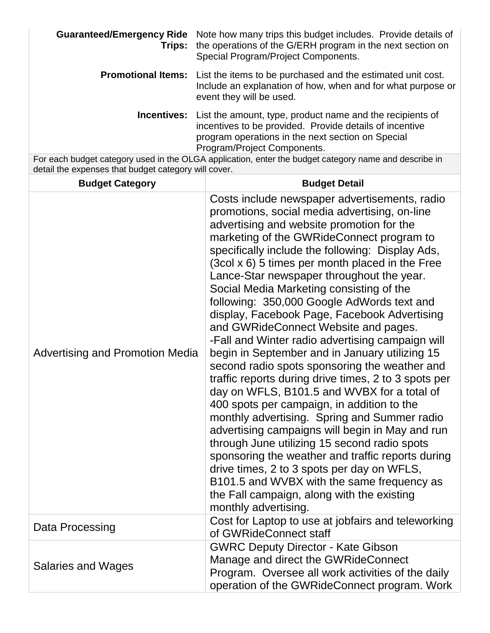| Trips:                                               | Guaranteed/Emergency Ride Note how many trips this budget includes. Provide details of<br>the operations of the G/ERH program in the next section on<br>Special Program/Project Components.                                                                                                                                                                                                                                                                                                                                                                                                                                                                                                                                                                                                                                                                                                                                                                                                                                                                                                                                                                                                                          |
|------------------------------------------------------|----------------------------------------------------------------------------------------------------------------------------------------------------------------------------------------------------------------------------------------------------------------------------------------------------------------------------------------------------------------------------------------------------------------------------------------------------------------------------------------------------------------------------------------------------------------------------------------------------------------------------------------------------------------------------------------------------------------------------------------------------------------------------------------------------------------------------------------------------------------------------------------------------------------------------------------------------------------------------------------------------------------------------------------------------------------------------------------------------------------------------------------------------------------------------------------------------------------------|
| <b>Promotional Items:</b>                            | List the items to be purchased and the estimated unit cost.<br>Include an explanation of how, when and for what purpose or<br>event they will be used.                                                                                                                                                                                                                                                                                                                                                                                                                                                                                                                                                                                                                                                                                                                                                                                                                                                                                                                                                                                                                                                               |
| <b>Incentives:</b>                                   | List the amount, type, product name and the recipients of<br>incentives to be provided. Provide details of incentive<br>program operations in the next section on Special<br>Program/Project Components.                                                                                                                                                                                                                                                                                                                                                                                                                                                                                                                                                                                                                                                                                                                                                                                                                                                                                                                                                                                                             |
| detail the expenses that budget category will cover. | For each budget category used in the OLGA application, enter the budget category name and describe in                                                                                                                                                                                                                                                                                                                                                                                                                                                                                                                                                                                                                                                                                                                                                                                                                                                                                                                                                                                                                                                                                                                |
| <b>Budget Category</b>                               | <b>Budget Detail</b>                                                                                                                                                                                                                                                                                                                                                                                                                                                                                                                                                                                                                                                                                                                                                                                                                                                                                                                                                                                                                                                                                                                                                                                                 |
| <b>Advertising and Promotion Media</b>               | Costs include newspaper advertisements, radio<br>promotions, social media advertising, on-line<br>advertising and website promotion for the<br>marketing of the GWRideConnect program to<br>specifically include the following: Display Ads,<br>(3col x 6) 5 times per month placed in the Free<br>Lance-Star newspaper throughout the year.<br>Social Media Marketing consisting of the<br>following: 350,000 Google AdWords text and<br>display, Facebook Page, Facebook Advertising<br>and GWRideConnect Website and pages.<br>-Fall and Winter radio advertising campaign will<br>begin in September and in January utilizing 15<br>second radio spots sponsoring the weather and<br>traffic reports during drive times, 2 to 3 spots per<br>day on WFLS, B101.5 and WVBX for a total of<br>400 spots per campaign, in addition to the<br>monthly advertising. Spring and Summer radio<br>advertising campaigns will begin in May and run<br>through June utilizing 15 second radio spots<br>sponsoring the weather and traffic reports during<br>drive times, 2 to 3 spots per day on WFLS,<br>B101.5 and WVBX with the same frequency as<br>the Fall campaign, along with the existing<br>monthly advertising. |
| Data Processing                                      | Cost for Laptop to use at jobfairs and teleworking<br>of GWRideConnect staff                                                                                                                                                                                                                                                                                                                                                                                                                                                                                                                                                                                                                                                                                                                                                                                                                                                                                                                                                                                                                                                                                                                                         |
| <b>Salaries and Wages</b>                            | <b>GWRC Deputy Director - Kate Gibson</b><br>Manage and direct the GWRideConnect<br>Program. Oversee all work activities of the daily<br>operation of the GWRideConnect program. Work                                                                                                                                                                                                                                                                                                                                                                                                                                                                                                                                                                                                                                                                                                                                                                                                                                                                                                                                                                                                                                |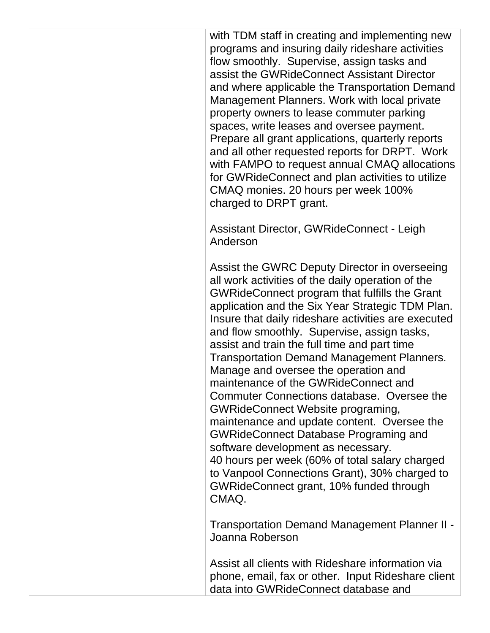with TDM staff in creating and implementing new programs and insuring daily rideshare activities flow smoothly. Supervise, assign tasks and assist the GWRideConnect Assistant Director and where applicable the Transportation Demand Management Planners. Work with local private property owners to lease commuter parking spaces, write leases and oversee payment. Prepare all grant applications, quarterly reports and all other requested reports for DRPT. Work with FAMPO to request annual CMAQ allocations for GWRideConnect and plan activities to utilize CMAQ monies. 20 hours per week 100% charged to DRPT grant.

Assistant Director, GWRideConnect - Leigh Anderson

Assist the GWRC Deputy Director in overseeing all work activities of the daily operation of the GWRideConnect program that fulfills the Grant application and the Six Year Strategic TDM Plan. Insure that daily rideshare activities are executed and flow smoothly. Supervise, assign tasks, assist and train the full time and part time Transportation Demand Management Planners. Manage and oversee the operation and maintenance of the GWRideConnect and Commuter Connections database. Oversee the GWRideConnect Website programing, maintenance and update content. Oversee the GWRideConnect Database Programing and software development as necessary. 40 hours per week (60% of total salary charged to Vanpool Connections Grant), 30% charged to GWRideConnect grant, 10% funded through CMAQ.

Transportation Demand Management Planner II - Joanna Roberson

Assist all clients with Rideshare information via phone, email, fax or other. Input Rideshare client data into GWRideConnect database and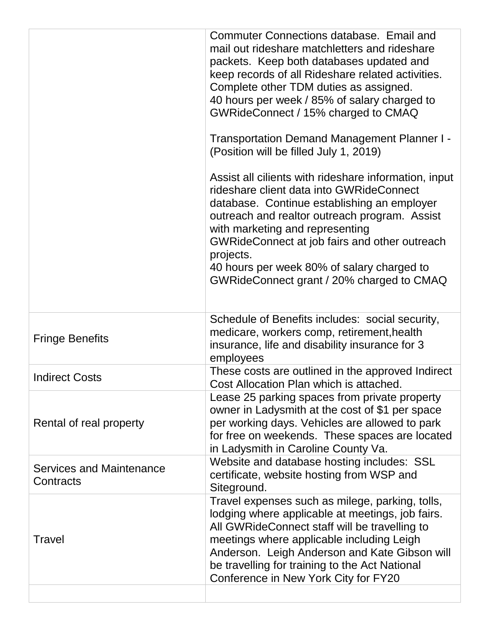|                                              | Commuter Connections database. Email and<br>mail out rideshare matchletters and rideshare<br>packets. Keep both databases updated and<br>keep records of all Rideshare related activities.<br>Complete other TDM duties as assigned.<br>40 hours per week / 85% of salary charged to<br>GWRideConnect / 15% charged to CMAQ                                                                   |
|----------------------------------------------|-----------------------------------------------------------------------------------------------------------------------------------------------------------------------------------------------------------------------------------------------------------------------------------------------------------------------------------------------------------------------------------------------|
|                                              | Transportation Demand Management Planner I -<br>(Position will be filled July 1, 2019)                                                                                                                                                                                                                                                                                                        |
|                                              | Assist all cilients with rideshare information, input<br>rideshare client data into GWRideConnect<br>database. Continue establishing an employer<br>outreach and realtor outreach program. Assist<br>with marketing and representing<br>GWRideConnect at job fairs and other outreach<br>projects.<br>40 hours per week 80% of salary charged to<br>GWRideConnect grant / 20% charged to CMAQ |
| <b>Fringe Benefits</b>                       | Schedule of Benefits includes: social security,<br>medicare, workers comp, retirement, health<br>insurance, life and disability insurance for 3<br>employees                                                                                                                                                                                                                                  |
|                                              |                                                                                                                                                                                                                                                                                                                                                                                               |
| <b>Indirect Costs</b>                        | These costs are outlined in the approved Indirect<br>Cost Allocation Plan which is attached                                                                                                                                                                                                                                                                                                   |
| Rental of real property                      | Lease 25 parking spaces from private property<br>owner in Ladysmith at the cost of \$1 per space<br>per working days. Vehicles are allowed to park<br>for free on weekends. These spaces are located<br>in Ladysmith in Caroline County Va.                                                                                                                                                   |
| <b>Services and Maintenance</b><br>Contracts | Website and database hosting includes: SSL<br>certificate, website hosting from WSP and<br>Siteground.                                                                                                                                                                                                                                                                                        |
| Travel                                       | Travel expenses such as milege, parking, tolls,<br>lodging where applicable at meetings, job fairs.<br>All GWRideConnect staff will be travelling to<br>meetings where applicable including Leigh<br>Anderson. Leigh Anderson and Kate Gibson will<br>be travelling for training to the Act National<br>Conference in New York City for FY20                                                  |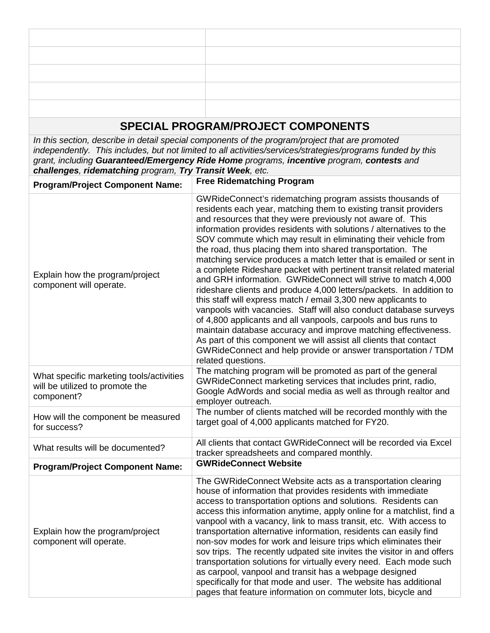# **SPECIAL PROGRAM/PROJECT COMPONENTS**

*In this section, describe in detail special components of the program/project that are promoted independently. This includes, but not limited to all activities/services/strategies/programs funded by this grant, including Guaranteed/Emergency Ride Home programs, incentive program, contests and challenges, ridematching program, Try Transit Week, etc.* 

| <b>Program/Project Component Name:</b>                                                    | <b>Free Ridematching Program</b>                                                                                                                                                                                                                                                                                                                                                                                                                                                                                                                                                                                                                                                                                                                                                                                                                                                                                                                                                                                                                                                                                                |
|-------------------------------------------------------------------------------------------|---------------------------------------------------------------------------------------------------------------------------------------------------------------------------------------------------------------------------------------------------------------------------------------------------------------------------------------------------------------------------------------------------------------------------------------------------------------------------------------------------------------------------------------------------------------------------------------------------------------------------------------------------------------------------------------------------------------------------------------------------------------------------------------------------------------------------------------------------------------------------------------------------------------------------------------------------------------------------------------------------------------------------------------------------------------------------------------------------------------------------------|
| Explain how the program/project<br>component will operate.                                | GWRideConnect's ridematching program assists thousands of<br>residents each year, matching them to existing transit providers<br>and resources that they were previously not aware of. This<br>information provides residents with solutions / alternatives to the<br>SOV commute which may result in eliminating their vehicle from<br>the road, thus placing them into shared transportation. The<br>matching service produces a match letter that is emailed or sent in<br>a complete Rideshare packet with pertinent transit related material<br>and GRH information. GWRideConnect will strive to match 4,000<br>rideshare clients and produce 4,000 letters/packets. In addition to<br>this staff will express match / email 3,300 new applicants to<br>vanpools with vacancies. Staff will also conduct database surveys<br>of 4,800 applicants and all vanpools, carpools and bus runs to<br>maintain database accuracy and improve matching effectiveness.<br>As part of this component we will assist all clients that contact<br>GWRideConnect and help provide or answer transportation / TDM<br>related questions. |
| What specific marketing tools/activities<br>will be utilized to promote the<br>component? | The matching program will be promoted as part of the general<br>GWRideConnect marketing services that includes print, radio,<br>Google AdWords and social media as well as through realtor and<br>employer outreach.                                                                                                                                                                                                                                                                                                                                                                                                                                                                                                                                                                                                                                                                                                                                                                                                                                                                                                            |
| How will the component be measured<br>for success?                                        | The number of clients matched will be recorded monthly with the<br>target goal of 4,000 applicants matched for FY20.                                                                                                                                                                                                                                                                                                                                                                                                                                                                                                                                                                                                                                                                                                                                                                                                                                                                                                                                                                                                            |
| What results will be documented?                                                          | All clients that contact GWRideConnect will be recorded via Excel<br>tracker spreadsheets and compared monthly.                                                                                                                                                                                                                                                                                                                                                                                                                                                                                                                                                                                                                                                                                                                                                                                                                                                                                                                                                                                                                 |
| <b>Program/Project Component Name:</b>                                                    | <b>GWRideConnect Website</b>                                                                                                                                                                                                                                                                                                                                                                                                                                                                                                                                                                                                                                                                                                                                                                                                                                                                                                                                                                                                                                                                                                    |
| Explain how the program/project<br>component will operate.                                | The GWRideConnect Website acts as a transportation clearing<br>house of information that provides residents with immediate<br>access to transportation options and solutions. Residents can<br>access this information anytime, apply online for a matchlist, find a<br>vanpool with a vacancy, link to mass transit, etc. With access to<br>transportation alternative information, residents can easily find<br>non-sov modes for work and leisure trips which eliminates their<br>sov trips. The recently udpated site invites the visitor in and offers<br>transportation solutions for virtually every need. Each mode such<br>as carpool, vanpool and transit has a webpage designed<br>specifically for that mode and user. The website has additional<br>pages that feature information on commuter lots, bicycle and                                                                                                                                                                                                                                                                                                   |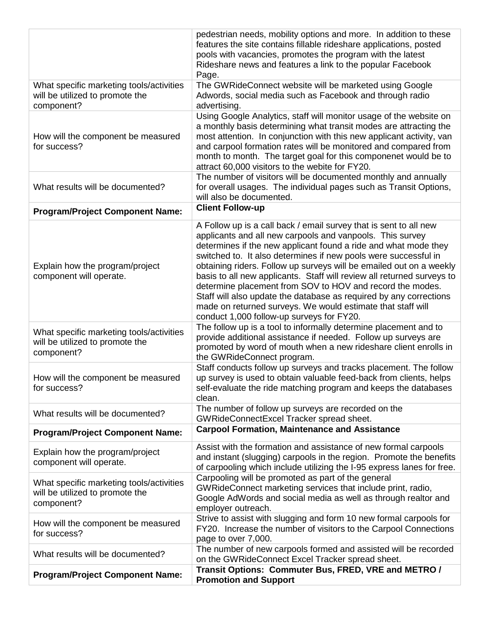|                                          | pedestrian needs, mobility options and more. In addition to these                                                                  |
|------------------------------------------|------------------------------------------------------------------------------------------------------------------------------------|
|                                          | features the site contains fillable rideshare applications, posted                                                                 |
|                                          | pools with vacancies, promotes the program with the latest                                                                         |
|                                          | Rideshare news and features a link to the popular Facebook<br>Page.                                                                |
| What specific marketing tools/activities | The GWRideConnect website will be marketed using Google                                                                            |
| will be utilized to promote the          | Adwords, social media such as Facebook and through radio                                                                           |
| component?                               | advertising.                                                                                                                       |
|                                          | Using Google Analytics, staff will monitor usage of the website on                                                                 |
|                                          | a monthly basis determining what transit modes are attracting the                                                                  |
| How will the component be measured       | most attention. In conjunction with this new applicant activity, van                                                               |
| for success?                             | and carpool formation rates will be monitored and compared from                                                                    |
|                                          | month to month. The target goal for this componenet would be to                                                                    |
|                                          | attract 60,000 visitors to the webite for FY20.<br>The number of visitors will be documented monthly and annually                  |
| What results will be documented?         | for overall usages. The individual pages such as Transit Options,                                                                  |
|                                          | will also be documented.                                                                                                           |
| <b>Program/Project Component Name:</b>   | <b>Client Follow-up</b>                                                                                                            |
|                                          |                                                                                                                                    |
|                                          | A Follow up is a call back / email survey that is sent to all new<br>applicants and all new carpools and vanpools. This survey     |
|                                          | determines if the new applicant found a ride and what mode they                                                                    |
|                                          | switched to. It also determines if new pools were successful in                                                                    |
| Explain how the program/project          | obtaining riders. Follow up surveys will be emailed out on a weekly                                                                |
| component will operate.                  | basis to all new applicants. Staff will review all returned surveys to                                                             |
|                                          | determine placement from SOV to HOV and record the modes.                                                                          |
|                                          | Staff will also update the database as required by any corrections                                                                 |
|                                          | made on returned surveys. We would estimate that staff will                                                                        |
|                                          | conduct 1,000 follow-up surveys for FY20.                                                                                          |
| What specific marketing tools/activities | The follow up is a tool to informally determine placement and to<br>provide additional assistance if needed. Follow up surveys are |
| will be utilized to promote the          | promoted by word of mouth when a new rideshare client enrolls in                                                                   |
| component?                               | the GWRideConnect program.                                                                                                         |
|                                          | Staff conducts follow up surveys and tracks placement. The follow                                                                  |
| How will the component be measured       | up survey is used to obtain valuable feed-back from clients, helps                                                                 |
| for success?                             | self-evaluate the ride matching program and keeps the databases                                                                    |
|                                          | clean.                                                                                                                             |
| What results will be documented?         | The number of follow up surveys are recorded on the                                                                                |
|                                          | GWRideConnectExcel Tracker spread sheet.                                                                                           |
| <b>Program/Project Component Name:</b>   | <b>Carpool Formation, Maintenance and Assistance</b>                                                                               |
| Explain how the program/project          | Assist with the formation and assistance of new formal carpools                                                                    |
| component will operate.                  | and instant (slugging) carpools in the region. Promote the benefits                                                                |
|                                          | of carpooling which include utilizing the I-95 express lanes for free.<br>Carpooling will be promoted as part of the general       |
| What specific marketing tools/activities | GWRideConnect marketing services that include print, radio,                                                                        |
| will be utilized to promote the          | Google AdWords and social media as well as through realtor and                                                                     |
| component?                               | employer outreach.                                                                                                                 |
|                                          | Strive to assist with slugging and form 10 new formal carpools for                                                                 |
| How will the component be measured       | FY20. Increase the number of visitors to the Carpool Connections                                                                   |
| for success?                             | page to over 7,000.                                                                                                                |
| What results will be documented?         | The number of new carpools formed and assisted will be recorded                                                                    |
|                                          | on the GWRideConnect Excel Tracker spread sheet.                                                                                   |
| <b>Program/Project Component Name:</b>   | Transit Options: Commuter Bus, FRED, VRE and METRO /                                                                               |
|                                          | <b>Promotion and Support</b>                                                                                                       |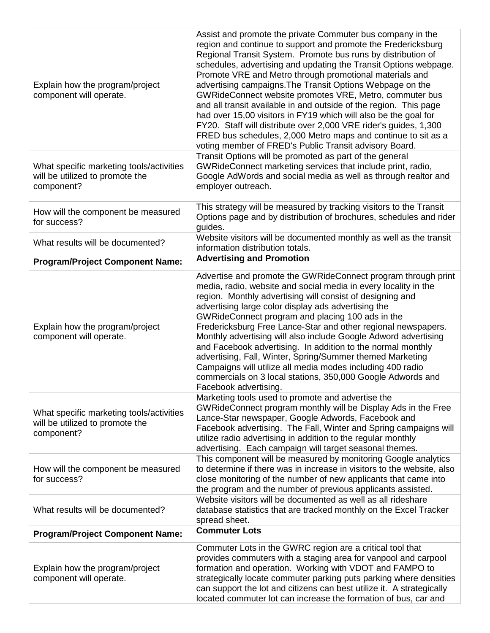| Explain how the program/project<br>component will operate.                                | Assist and promote the private Commuter bus company in the<br>region and continue to support and promote the Fredericksburg<br>Regional Transit System. Promote bus runs by distribution of<br>schedules, advertising and updating the Transit Options webpage.<br>Promote VRE and Metro through promotional materials and<br>advertising campaigns. The Transit Options Webpage on the<br>GWRideConnect website promotes VRE, Metro, commuter bus<br>and all transit available in and outside of the region. This page<br>had over 15,00 visitors in FY19 which will also be the goal for<br>FY20. Staff will distribute over 2,000 VRE rider's guides, 1,300<br>FRED bus schedules, 2,000 Metro maps and continue to sit as a<br>voting member of FRED's Public Transit advisory Board. |
|-------------------------------------------------------------------------------------------|-------------------------------------------------------------------------------------------------------------------------------------------------------------------------------------------------------------------------------------------------------------------------------------------------------------------------------------------------------------------------------------------------------------------------------------------------------------------------------------------------------------------------------------------------------------------------------------------------------------------------------------------------------------------------------------------------------------------------------------------------------------------------------------------|
| What specific marketing tools/activities<br>will be utilized to promote the<br>component? | Transit Options will be promoted as part of the general<br>GWRideConnect marketing services that include print, radio,<br>Google AdWords and social media as well as through realtor and<br>employer outreach.                                                                                                                                                                                                                                                                                                                                                                                                                                                                                                                                                                            |
| How will the component be measured<br>for success?                                        | This strategy will be measured by tracking visitors to the Transit<br>Options page and by distribution of brochures, schedules and rider<br>guides.                                                                                                                                                                                                                                                                                                                                                                                                                                                                                                                                                                                                                                       |
| What results will be documented?                                                          | Website visitors will be documented monthly as well as the transit<br>information distribution totals.                                                                                                                                                                                                                                                                                                                                                                                                                                                                                                                                                                                                                                                                                    |
| <b>Program/Project Component Name:</b>                                                    | <b>Advertising and Promotion</b>                                                                                                                                                                                                                                                                                                                                                                                                                                                                                                                                                                                                                                                                                                                                                          |
| Explain how the program/project<br>component will operate.                                | Advertise and promote the GWRideConnect program through print<br>media, radio, website and social media in every locality in the<br>region. Monthly advertising will consist of designing and<br>advertising large color display ads advertising the<br>GWRideConnect program and placing 100 ads in the<br>Fredericksburg Free Lance-Star and other regional newspapers.<br>Monthly advertising will also include Google Adword advertising<br>and Facebook advertising. In addition to the normal monthly<br>advertising, Fall, Winter, Spring/Summer themed Marketing<br>Campaigns will utilize all media modes including 400 radio<br>commercials on 3 local stations, 350,000 Google Adwords and<br>Facebook advertising.                                                            |
| What specific marketing tools/activities<br>will be utilized to promote the<br>component? | Marketing tools used to promote and advertise the<br>GWRideConnect program monthly will be Display Ads in the Free<br>Lance-Star newspaper, Google Adwords, Facebook and<br>Facebook advertising. The Fall, Winter and Spring campaigns will<br>utilize radio advertising in addition to the regular monthly<br>advertising. Each campaign will target seasonal themes.                                                                                                                                                                                                                                                                                                                                                                                                                   |
| How will the component be measured<br>for success?                                        | This component will be measured by monitoring Google analytics<br>to determine if there was in increase in visitors to the website, also<br>close monitoring of the number of new applicants that came into<br>the program and the number of previous applicants assisted.                                                                                                                                                                                                                                                                                                                                                                                                                                                                                                                |
| What results will be documented?                                                          | Website visitors will be documented as well as all rideshare<br>database statistics that are tracked monthly on the Excel Tracker<br>spread sheet.                                                                                                                                                                                                                                                                                                                                                                                                                                                                                                                                                                                                                                        |
| <b>Program/Project Component Name:</b>                                                    | <b>Commuter Lots</b>                                                                                                                                                                                                                                                                                                                                                                                                                                                                                                                                                                                                                                                                                                                                                                      |
| Explain how the program/project<br>component will operate.                                | Commuter Lots in the GWRC region are a critical tool that<br>provides commuters with a staging area for vanpool and carpool<br>formation and operation. Working with VDOT and FAMPO to<br>strategically locate commuter parking puts parking where densities<br>can support the lot and citizens can best utilize it. A strategically<br>located commuter lot can increase the formation of bus, car and                                                                                                                                                                                                                                                                                                                                                                                  |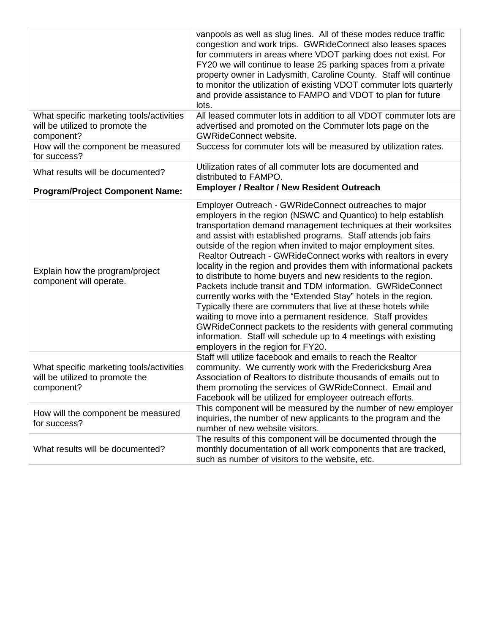|                                                                                           | vanpools as well as slug lines. All of these modes reduce traffic<br>congestion and work trips. GWRideConnect also leases spaces<br>for commuters in areas where VDOT parking does not exist. For<br>FY20 we will continue to lease 25 parking spaces from a private<br>property owner in Ladysmith, Caroline County. Staff will continue<br>to monitor the utilization of existing VDOT commuter lots quarterly<br>and provide assistance to FAMPO and VDOT to plan for future<br>lots.                                                                                                                                                                                                                                                                                                                                                                                                                                                                                    |
|-------------------------------------------------------------------------------------------|-----------------------------------------------------------------------------------------------------------------------------------------------------------------------------------------------------------------------------------------------------------------------------------------------------------------------------------------------------------------------------------------------------------------------------------------------------------------------------------------------------------------------------------------------------------------------------------------------------------------------------------------------------------------------------------------------------------------------------------------------------------------------------------------------------------------------------------------------------------------------------------------------------------------------------------------------------------------------------|
| What specific marketing tools/activities                                                  | All leased commuter lots in addition to all VDOT commuter lots are                                                                                                                                                                                                                                                                                                                                                                                                                                                                                                                                                                                                                                                                                                                                                                                                                                                                                                          |
| will be utilized to promote the<br>component?                                             | advertised and promoted on the Commuter lots page on the<br><b>GWRideConnect website.</b>                                                                                                                                                                                                                                                                                                                                                                                                                                                                                                                                                                                                                                                                                                                                                                                                                                                                                   |
| How will the component be measured<br>for success?                                        | Success for commuter lots will be measured by utilization rates.                                                                                                                                                                                                                                                                                                                                                                                                                                                                                                                                                                                                                                                                                                                                                                                                                                                                                                            |
| What results will be documented?                                                          | Utilization rates of all commuter lots are documented and<br>distributed to FAMPO.                                                                                                                                                                                                                                                                                                                                                                                                                                                                                                                                                                                                                                                                                                                                                                                                                                                                                          |
| <b>Program/Project Component Name:</b>                                                    | <b>Employer / Realtor / New Resident Outreach</b>                                                                                                                                                                                                                                                                                                                                                                                                                                                                                                                                                                                                                                                                                                                                                                                                                                                                                                                           |
| Explain how the program/project<br>component will operate.                                | Employer Outreach - GWRideConnect outreaches to major<br>employers in the region (NSWC and Quantico) to help establish<br>transportation demand management techniques at their worksites<br>and assist with established programs. Staff attends job fairs<br>outside of the region when invited to major employment sites.<br>Realtor Outreach - GWRideConnect works with realtors in every<br>locality in the region and provides them with informational packets<br>to distribute to home buyers and new residents to the region.<br>Packets include transit and TDM information. GWRideConnect<br>currently works with the "Extended Stay" hotels in the region.<br>Typically there are commuters that live at these hotels while<br>waiting to move into a permanent residence. Staff provides<br>GWRideConnect packets to the residents with general commuting<br>information. Staff will schedule up to 4 meetings with existing<br>employers in the region for FY20. |
| What specific marketing tools/activities<br>will be utilized to promote the<br>component? | Staff will utilize facebook and emails to reach the Realtor<br>community. We currently work with the Fredericksburg Area<br>Association of Realtors to distribute thousands of emails out to<br>them promoting the services of GWRideConnect. Email and<br>Facebook will be utilized for employeer outreach efforts.                                                                                                                                                                                                                                                                                                                                                                                                                                                                                                                                                                                                                                                        |
| How will the component be measured<br>for success?                                        | This component will be measured by the number of new employer<br>inquiries, the number of new applicants to the program and the<br>number of new website visitors.                                                                                                                                                                                                                                                                                                                                                                                                                                                                                                                                                                                                                                                                                                                                                                                                          |
| What results will be documented?                                                          | The results of this component will be documented through the<br>monthly documentation of all work components that are tracked,<br>such as number of visitors to the website, etc.                                                                                                                                                                                                                                                                                                                                                                                                                                                                                                                                                                                                                                                                                                                                                                                           |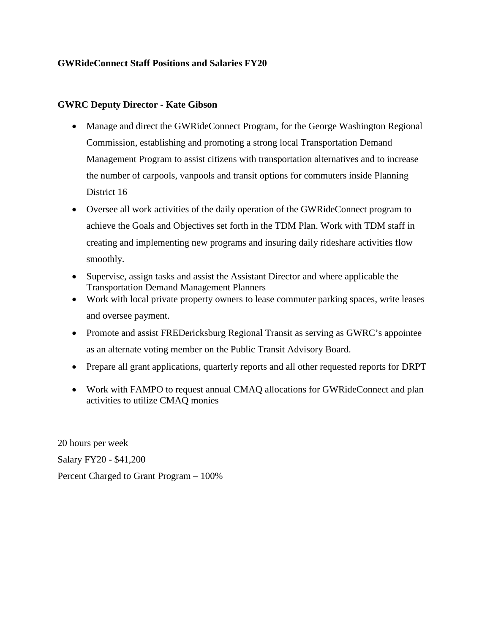#### **GWRideConnect Staff Positions and Salaries FY20**

#### **GWRC Deputy Director - Kate Gibson**

- Manage and direct the GWRideConnect Program, for the George Washington Regional Commission, establishing and promoting a strong local Transportation Demand Management Program to assist citizens with transportation alternatives and to increase the number of carpools, vanpools and transit options for commuters inside Planning District 16
- Oversee all work activities of the daily operation of the GWRideConnect program to achieve the Goals and Objectives set forth in the TDM Plan. Work with TDM staff in creating and implementing new programs and insuring daily rideshare activities flow smoothly.
- Supervise, assign tasks and assist the Assistant Director and where applicable the Transportation Demand Management Planners
- Work with local private property owners to lease commuter parking spaces, write leases and oversee payment.
- Promote and assist FREDericksburg Regional Transit as serving as GWRC's appointee as an alternate voting member on the Public Transit Advisory Board.
- Prepare all grant applications, quarterly reports and all other requested reports for DRPT
- Work with FAMPO to request annual CMAQ allocations for GWRideConnect and plan activities to utilize CMAQ monies

20 hours per week Salary FY20 - \$41,200 Percent Charged to Grant Program – 100%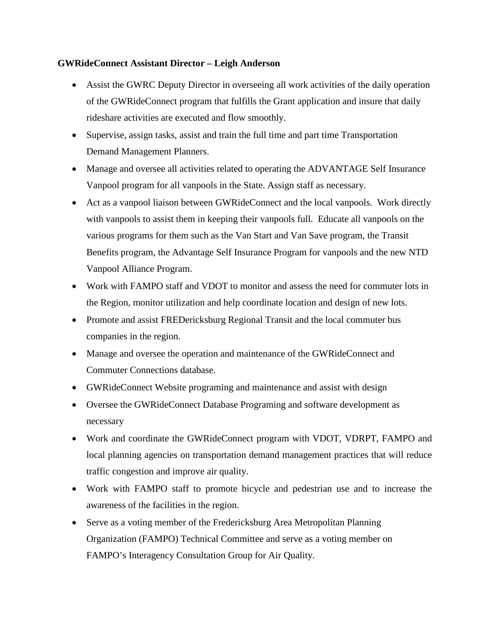#### **GWRideConnect Assistant Director – Leigh Anderson**

- Assist the GWRC Deputy Director in overseeing all work activities of the daily operation of the GWRideConnect program that fulfills the Grant application and insure that daily rideshare activities are executed and flow smoothly.
- Supervise, assign tasks, assist and train the full time and part time Transportation Demand Management Planners.
- Manage and oversee all activities related to operating the ADVANTAGE Self Insurance Vanpool program for all vanpools in the State. Assign staff as necessary.
- Act as a vanpool liaison between GWRideConnect and the local vanpools. Work directly with vanpools to assist them in keeping their vanpools full. Educate all vanpools on the various programs for them such as the Van Start and Van Save program, the Transit Benefits program, the Advantage Self Insurance Program for vanpools and the new NTD Vanpool Alliance Program.
- Work with FAMPO staff and VDOT to monitor and assess the need for commuter lots in the Region, monitor utilization and help coordinate location and design of new lots.
- Promote and assist FREDericksburg Regional Transit and the local commuter bus companies in the region.
- Manage and oversee the operation and maintenance of the GWRideConnect and Commuter Connections database.
- GWRideConnect Website programing and maintenance and assist with design
- Oversee the GWRideConnect Database Programing and software development as necessary
- Work and coordinate the GWRideConnect program with VDOT, VDRPT, FAMPO and local planning agencies on transportation demand management practices that will reduce traffic congestion and improve air quality.
- Work with FAMPO staff to promote bicycle and pedestrian use and to increase the awareness of the facilities in the region.
- Serve as a voting member of the Fredericksburg Area Metropolitan Planning Organization (FAMPO) Technical Committee and serve as a voting member on FAMPO's Interagency Consultation Group for Air Quality.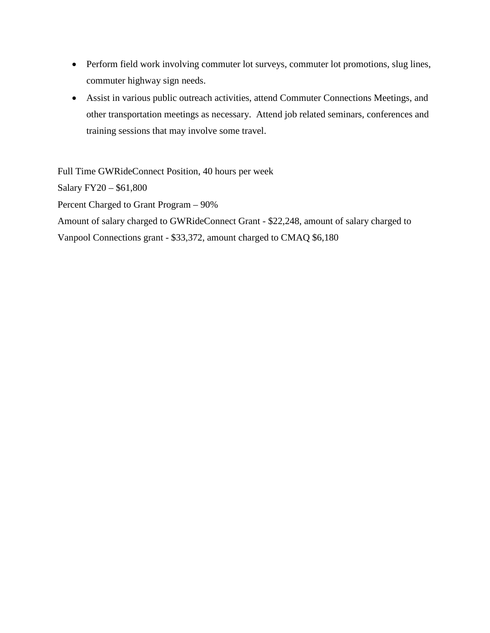- Perform field work involving commuter lot surveys, commuter lot promotions, slug lines, commuter highway sign needs.
- Assist in various public outreach activities, attend Commuter Connections Meetings, and other transportation meetings as necessary. Attend job related seminars, conferences and training sessions that may involve some travel.

Full Time GWRideConnect Position, 40 hours per week Salary FY20 – \$61,800 Percent Charged to Grant Program – 90% Amount of salary charged to GWRideConnect Grant - \$22,248, amount of salary charged to Vanpool Connections grant - \$33,372, amount charged to CMAQ \$6,180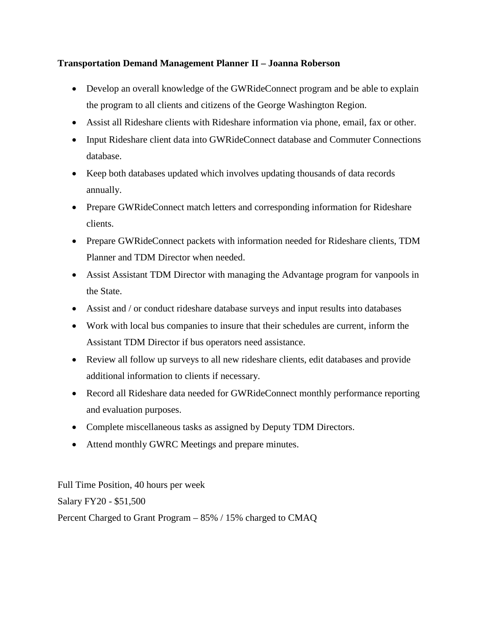## **Transportation Demand Management Planner II – Joanna Roberson**

- Develop an overall knowledge of the GWRideConnect program and be able to explain the program to all clients and citizens of the George Washington Region.
- Assist all Rideshare clients with Rideshare information via phone, email, fax or other.
- Input Rideshare client data into GWRideConnect database and Commuter Connections database.
- Keep both databases updated which involves updating thousands of data records annually.
- Prepare GWRideConnect match letters and corresponding information for Rideshare clients.
- Prepare GWRideConnect packets with information needed for Rideshare clients, TDM Planner and TDM Director when needed.
- Assist Assistant TDM Director with managing the Advantage program for vanpools in the State.
- Assist and / or conduct rideshare database surveys and input results into databases
- Work with local bus companies to insure that their schedules are current, inform the Assistant TDM Director if bus operators need assistance.
- Review all follow up surveys to all new rideshare clients, edit databases and provide additional information to clients if necessary.
- Record all Rideshare data needed for GWRideConnect monthly performance reporting and evaluation purposes.
- Complete miscellaneous tasks as assigned by Deputy TDM Directors.
- Attend monthly GWRC Meetings and prepare minutes.

Full Time Position, 40 hours per week Salary FY20 - \$51,500 Percent Charged to Grant Program – 85% / 15% charged to CMAQ